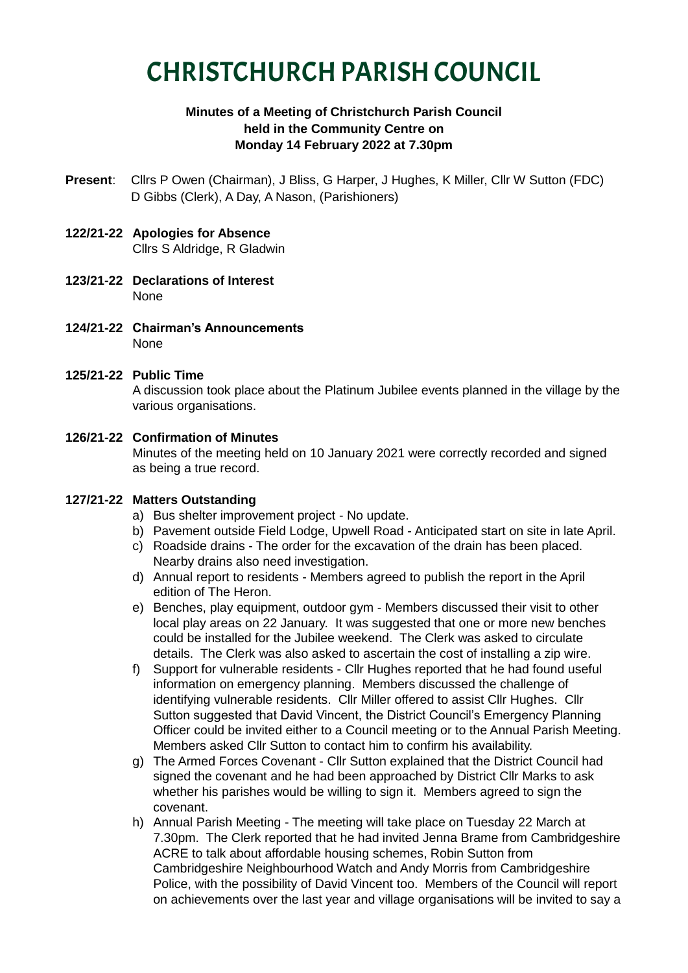# CHRISTCHURCH PARISH COUNCIL

# **Minutes of a Meeting of Christchurch Parish Council held in the Community Centre on Monday 14 February 2022 at 7.30pm**

- **Present**: Cllrs P Owen (Chairman), J Bliss, G Harper, J Hughes, K Miller, Cllr W Sutton (FDC) D Gibbs (Clerk), A Day, A Nason, (Parishioners)
- **122/21-22 Apologies for Absence** Cllrs S Aldridge, R Gladwin
- **123/21-22 Declarations of Interest** None
- **124/21-22 Chairman's Announcements** None
- **125/21-22 Public Time**

A discussion took place about the Platinum Jubilee events planned in the village by the various organisations.

#### **126/21-22 Confirmation of Minutes** Minutes of the meeting held on 10 January 2021 were correctly recorded and signed as being a true record.

#### **127/21-22 Matters Outstanding**

- a) Bus shelter improvement project No update.
- b) Pavement outside Field Lodge, Upwell Road Anticipated start on site in late April.
- c) Roadside drains The order for the excavation of the drain has been placed. Nearby drains also need investigation.
- d) Annual report to residents Members agreed to publish the report in the April edition of The Heron.
- e) Benches, play equipment, outdoor gym Members discussed their visit to other local play areas on 22 January. It was suggested that one or more new benches could be installed for the Jubilee weekend. The Clerk was asked to circulate details. The Clerk was also asked to ascertain the cost of installing a zip wire.
- f) Support for vulnerable residents Cllr Hughes reported that he had found useful information on emergency planning. Members discussed the challenge of identifying vulnerable residents. Cllr Miller offered to assist Cllr Hughes. Cllr Sutton suggested that David Vincent, the District Council's Emergency Planning Officer could be invited either to a Council meeting or to the Annual Parish Meeting. Members asked Cllr Sutton to contact him to confirm his availability.
- g) The Armed Forces Covenant Cllr Sutton explained that the District Council had signed the covenant and he had been approached by District Cllr Marks to ask whether his parishes would be willing to sign it. Members agreed to sign the covenant.
- h) Annual Parish Meeting The meeting will take place on Tuesday 22 March at 7.30pm. The Clerk reported that he had invited Jenna Brame from Cambridgeshire ACRE to talk about affordable housing schemes, Robin Sutton from Cambridgeshire Neighbourhood Watch and Andy Morris from Cambridgeshire Police, with the possibility of David Vincent too. Members of the Council will report on achievements over the last year and village organisations will be invited to say a